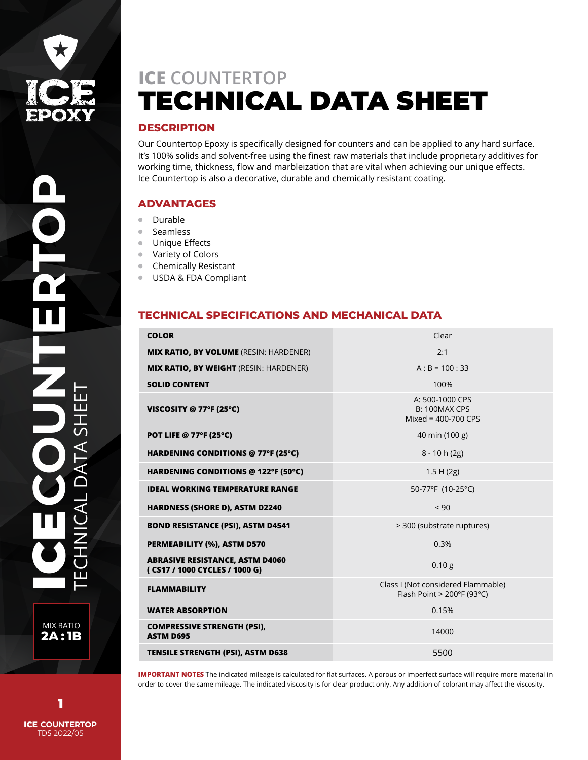

## **DESCRIPTION**

Our Countertop Epoxy is specifically designed for counters and can be applied to any hard surface. It's 100% solids and solvent-free using the finest raw materials that include proprietary additives for working time, thickness, flow and marbleization that are vital when achieving our unique effects. Ice Countertop is also a decorative, durable and chemically resistant coating.

## **ADVANTAGES**

- $\blacksquare$ Durable
- Seamless  $\bullet$
- Unique Effects  $\bullet$
- Variety of Colors  $\bullet$
- Chemically Resistant
- USDA & FDA Compliant  $\bullet$

# **TECHNICAL SPECIFICATIONS AND MECHANICAL DATA**

| <b>COLOR</b>                                                            | Clear                                                                           |
|-------------------------------------------------------------------------|---------------------------------------------------------------------------------|
| <b>MIX RATIO, BY VOLUME</b> (RESIN: HARDENER)                           | 2:1                                                                             |
| <b>MIX RATIO, BY WEIGHT (RESIN: HARDENER)</b>                           | $A : B = 100 : 33$                                                              |
| <b>SOLID CONTENT</b>                                                    | 100%                                                                            |
| VISCOSITY @ 77°F (25°C)                                                 | A: 500-1000 CPS<br><b>B: 100MAX CPS</b><br>Mixed = $400-700$ CPS                |
| <b>POT LIFE @ 77°F (25°C)</b>                                           | 40 min (100 g)                                                                  |
| HARDENING CONDITIONS @ 77°F (25°C)                                      | $8 - 10h(2g)$                                                                   |
| HARDENING CONDITIONS @ 122°F (50°C)                                     | 1.5 H(2g)                                                                       |
| <b>IDEAL WORKING TEMPERATURE RANGE</b>                                  | 50-77°F (10-25°C)                                                               |
| <b>HARDNESS (SHORE D), ASTM D2240</b>                                   | ${}_{<}90$                                                                      |
| <b>BOND RESISTANCE (PSI), ASTM D4541</b>                                | > 300 (substrate ruptures)                                                      |
| <b>PERMEABILITY (%), ASTM D570</b>                                      | 0.3%                                                                            |
| <b>ABRASIVE RESISTANCE, ASTM D4060</b><br>(CS17 / 1000 CYCLES / 1000 G) | 0.10 <sub>g</sub>                                                               |
| <b>FLAMMABILITY</b>                                                     | Class I (Not considered Flammable)<br>Flash Point > $200^{\circ}F(93^{\circ}C)$ |
| <b>WATER ABSORPTION</b>                                                 | 0.15%                                                                           |
| <b>COMPRESSIVE STRENGTH (PSI),</b><br><b>ASTM D695</b>                  | 14000                                                                           |
| <b>TENSILE STRENGTH (PSI), ASTM D638</b>                                | 5500                                                                            |

**IMPORTANT NOTES** The indicated mileage is calculated for flat surfaces. A porous or imperfect surface will require more material in order to cover the same mileage. The indicated viscosity is for clear product only. Any addition of colorant may affect the viscosity.

MIX RATIO **2A : 1B**

ICE **COUNTERTOP** TDS 2022/05 1